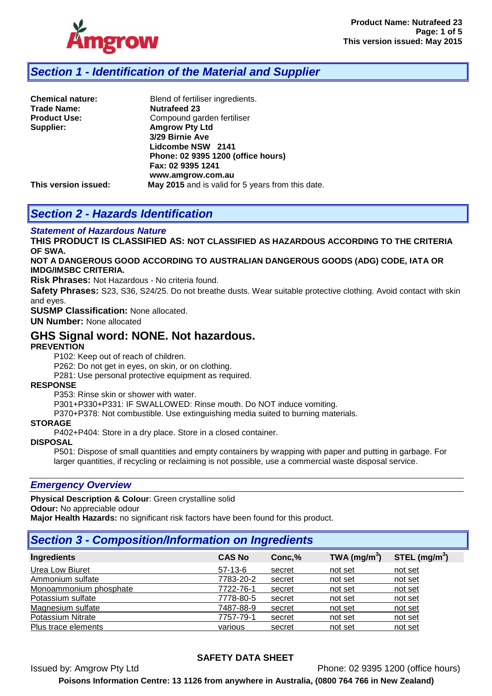

# *Section 1 - Identification of the Material and Supplier*

| Phone: 02 9395 1200 (office hours)                |
|---------------------------------------------------|
|                                                   |
|                                                   |
| May 2015 and is valid for 5 years from this date. |
|                                                   |

# *Section 2 - Hazards Identification*

#### *Statement of Hazardous Nature*

**THIS PRODUCT IS CLASSIFIED AS: NOT CLASSIFIED AS HAZARDOUS ACCORDING TO THE CRITERIA OF SWA.** 

**NOT A DANGEROUS GOOD ACCORDING TO AUSTRALIAN DANGEROUS GOODS (ADG) CODE, IATA OR IMDG/IMSBC CRITERIA.**

**Risk Phrases:** Not Hazardous - No criteria found.

**Safety Phrases:** S23, S36, S24/25. Do not breathe dusts. Wear suitable protective clothing. Avoid contact with skin and eyes.

**SUSMP Classification:** None allocated.

**UN Number:** None allocated

## **GHS Signal word: NONE. Not hazardous.**

#### **PREVENTION**

P102: Keep out of reach of children.

P262: Do not get in eyes, on skin, or on clothing.

P281: Use personal protective equipment as required.

#### **RESPONSE**

P353: Rinse skin or shower with water.

P301+P330+P331: IF SWALLOWED: Rinse mouth. Do NOT induce vomiting.

P370+P378: Not combustible. Use extinguishing media suited to burning materials.

#### **STORAGE**

P402+P404: Store in a dry place. Store in a closed container.

**DISPOSAL**

P501: Dispose of small quantities and empty containers by wrapping with paper and putting in garbage. For larger quantities, if recycling or reclaiming is not possible, use a commercial waste disposal service.

#### *Emergency Overview*

**Physical Description & Colour**: Green crystalline solid

**Odour:** No appreciable odour

**Major Health Hazards:** no significant risk factors have been found for this product.

# *Section 3 - Composition/Information on Ingredients*

| Ingredients            | <b>CAS No</b> | Conc, % | TWA (mg/m $3)$ | STEL $(mg/m3)$ |
|------------------------|---------------|---------|----------------|----------------|
| Urea Low Biuret        | $57-13-6$     | secret  | not set        | not set        |
| Ammonium sulfate       | 7783-20-2     | secret  | not set        | not set        |
| Monoammonium phosphate | 7722-76-1     | secret  | not set        | not set        |
| Potassium sulfate      | 7778-80-5     | secret  | not set        | not set        |
| Magnesium sulfate      | 7487-88-9     | secret  | not set        | not set        |
| Potassium Nitrate      | 7757-79-1     | secret  | not set        | not set        |
| Plus trace elements    | various       | secret  | not set        | not set        |

## **SAFETY DATA SHEET**

Issued by: Amgrow Pty Ltd Phone: 02 9395 1200 (office hours)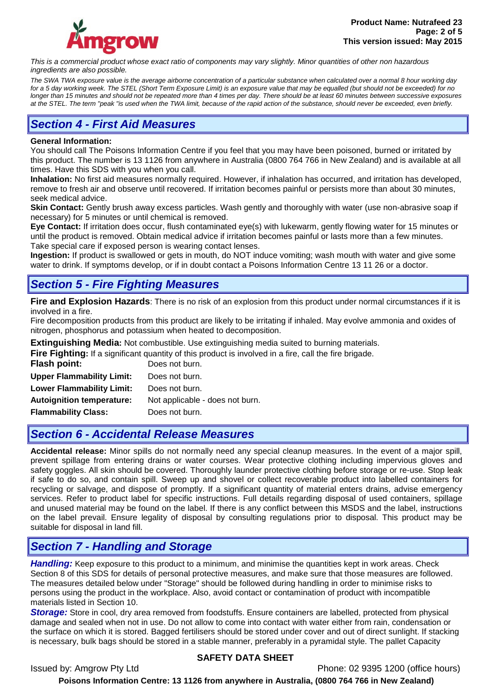

*This is a commercial product whose exact ratio of components may vary slightly. Minor quantities of other non hazardous ingredients are also possible.*

*The SWA TWA exposure value is the average airborne concentration of a particular substance when calculated over a normal 8 hour working day for a 5 day working week. The STEL (Short Term Exposure Limit) is an exposure value that may be equalled (but should not be exceeded) for no longer than 15 minutes and should not be repeated more than 4 times per day. There should be at least 60 minutes between successive exposures at the STEL. The term "peak "is used when the TWA limit, because of the rapid action of the substance, should never be exceeded, even briefly.*

# *Section 4 - First Aid Measures*

#### **General Information:**

You should call The Poisons Information Centre if you feel that you may have been poisoned, burned or irritated by this product. The number is 13 1126 from anywhere in Australia (0800 764 766 in New Zealand) and is available at all times. Have this SDS with you when you call.

**Inhalation:** No first aid measures normally required. However, if inhalation has occurred, and irritation has developed, remove to fresh air and observe until recovered. If irritation becomes painful or persists more than about 30 minutes, seek medical advice.

**Skin Contact:** Gently brush away excess particles. Wash gently and thoroughly with water (use non-abrasive soap if necessary) for 5 minutes or until chemical is removed.

**Eye Contact:** If irritation does occur, flush contaminated eye(s) with lukewarm, gently flowing water for 15 minutes or until the product is removed. Obtain medical advice if irritation becomes painful or lasts more than a few minutes. Take special care if exposed person is wearing contact lenses.

**Ingestion:** If product is swallowed or gets in mouth, do NOT induce vomiting; wash mouth with water and give some water to drink. If symptoms develop, or if in doubt contact a Poisons Information Centre 13 11 26 or a doctor.

# *Section 5 - Fire Fighting Measures*

**Fire and Explosion Hazards**: There is no risk of an explosion from this product under normal circumstances if it is involved in a fire.

Fire decomposition products from this product are likely to be irritating if inhaled. May evolve ammonia and oxides of nitrogen, phosphorus and potassium when heated to decomposition.

**Extinguishing Media:** Not combustible. Use extinguishing media suited to burning materials.

**Fire Fighting:** If a significant quantity of this product is involved in a fire, call the fire brigade.

| <b>Flash point:</b>              | Does not burn.                  |
|----------------------------------|---------------------------------|
| <b>Upper Flammability Limit:</b> | Does not burn.                  |
| <b>Lower Flammability Limit:</b> | Does not burn.                  |
| <b>Autoignition temperature:</b> | Not applicable - does not burn. |
| <b>Flammability Class:</b>       | Does not burn.                  |
|                                  |                                 |

# *Section 6 - Accidental Release Measures*

**Accidental release:** Minor spills do not normally need any special cleanup measures. In the event of a major spill, prevent spillage from entering drains or water courses. Wear protective clothing including impervious gloves and safety goggles. All skin should be covered. Thoroughly launder protective clothing before storage or re-use. Stop leak if safe to do so, and contain spill. Sweep up and shovel or collect recoverable product into labelled containers for recycling or salvage, and dispose of promptly. If a significant quantity of material enters drains, advise emergency services. Refer to product label for specific instructions. Full details regarding disposal of used containers, spillage and unused material may be found on the label. If there is any conflict between this MSDS and the label, instructions on the label prevail. Ensure legality of disposal by consulting regulations prior to disposal. This product may be suitable for disposal in land fill.

# *Section 7 - Handling and Storage*

*Handling:* Keep exposure to this product to a minimum, and minimise the quantities kept in work areas. Check Section 8 of this SDS for details of personal protective measures, and make sure that those measures are followed. The measures detailed below under "Storage" should be followed during handling in order to minimise risks to persons using the product in the workplace. Also, avoid contact or contamination of product with incompatible materials listed in Section 10.

*Storage:* Store in cool, dry area removed from foodstuffs. Ensure containers are labelled, protected from physical damage and sealed when not in use. Do not allow to come into contact with water either from rain, condensation or the surface on which it is stored. Bagged fertilisers should be stored under cover and out of direct sunlight. If stacking is necessary, bulk bags should be stored in a stable manner, preferably in a pyramidal style. The pallet Capacity

## **SAFETY DATA SHEET**

Issued by: Amgrow Pty Ltd Phone: 02 9395 1200 (office hours)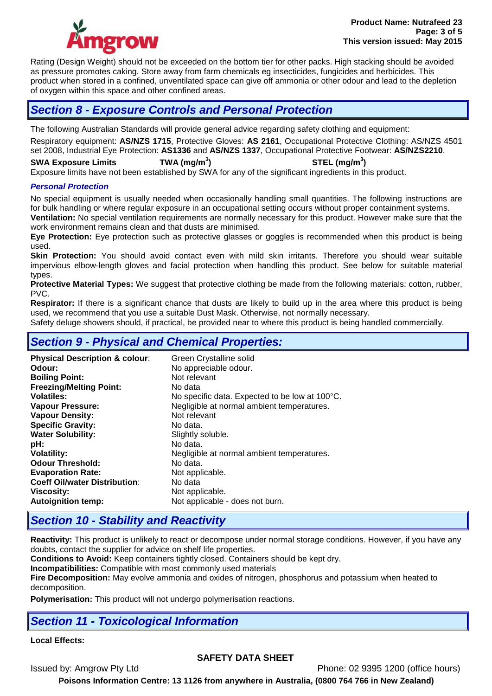

Rating (Design Weight) should not be exceeded on the bottom tier for other packs. High stacking should be avoided as pressure promotes caking. Store away from farm chemicals eg insecticides, fungicides and herbicides. This product when stored in a confined, unventilated space can give off ammonia or other odour and lead to the depletion of oxygen within this space and other confined areas.

# *Section 8 - Exposure Controls and Personal Protection*

The following Australian Standards will provide general advice regarding safety clothing and equipment: Respiratory equipment: **AS/NZS 1715**, Protective Gloves: **AS 2161**, Occupational Protective Clothing: AS/NZS 4501 set 2008, Industrial Eye Protection: **AS1336** and **AS/NZS 1337**, Occupational Protective Footwear: **AS/NZS2210**.

**SWA Exposure Limits TWA (mg/m<sup>3</sup> ) STEL (mg/m<sup>3</sup> )** Exposure limits have not been established by SWA for any of the significant ingredients in this product.

#### *Personal Protection*

No special equipment is usually needed when occasionally handling small quantities. The following instructions are for bulk handling or where regular exposure in an occupational setting occurs without proper containment systems. **Ventilation:** No special ventilation requirements are normally necessary for this product. However make sure that the work environment remains clean and that dusts are minimised.

**Eye Protection:** Eye protection such as protective glasses or goggles is recommended when this product is being used.

**Skin Protection:** You should avoid contact even with mild skin irritants. Therefore you should wear suitable impervious elbow-length gloves and facial protection when handling this product. See below for suitable material types.

**Protective Material Types:** We suggest that protective clothing be made from the following materials: cotton, rubber, PVC.

**Respirator:** If there is a significant chance that dusts are likely to build up in the area where this product is being used, we recommend that you use a suitable Dust Mask. Otherwise, not normally necessary.

Safety deluge showers should, if practical, be provided near to where this product is being handled commercially.

# *Section 9 - Physical and Chemical Properties:*

| <b>Physical Description &amp; colour:</b><br>Odour:<br><b>Boiling Point:</b><br><b>Freezing/Melting Point:</b><br><b>Volatiles:</b><br><b>Vapour Pressure:</b><br><b>Vapour Density:</b><br><b>Specific Gravity:</b><br><b>Water Solubility:</b><br>pH:<br><b>Volatility:</b><br><b>Odour Threshold:</b><br><b>Evaporation Rate:</b><br><b>Coeff Oil/water Distribution:</b> | Green Crystalline solid<br>No appreciable odour.<br>Not relevant<br>No data<br>No specific data. Expected to be low at 100°C.<br>Negligible at normal ambient temperatures.<br>Not relevant<br>No data.<br>Slightly soluble.<br>No data.<br>Negligible at normal ambient temperatures.<br>No data.<br>Not applicable.<br>No data |
|------------------------------------------------------------------------------------------------------------------------------------------------------------------------------------------------------------------------------------------------------------------------------------------------------------------------------------------------------------------------------|----------------------------------------------------------------------------------------------------------------------------------------------------------------------------------------------------------------------------------------------------------------------------------------------------------------------------------|
| <b>Autoignition temp:</b>                                                                                                                                                                                                                                                                                                                                                    | Not applicable.<br>Not applicable - does not burn.                                                                                                                                                                                                                                                                               |
| <b>Viscosity:</b>                                                                                                                                                                                                                                                                                                                                                            |                                                                                                                                                                                                                                                                                                                                  |

# *Section 10 - Stability and Reactivity*

**Reactivity:** This product is unlikely to react or decompose under normal storage conditions. However, if you have any doubts, contact the supplier for advice on shelf life properties.

**Conditions to Avoid:** Keep containers tightly closed. Containers should be kept dry.

**Incompatibilities:** Compatible with most commonly used materials

**Fire Decomposition:** May evolve ammonia and oxides of nitrogen, phosphorus and potassium when heated to decomposition.

**Polymerisation:** This product will not undergo polymerisation reactions.

# *Section 11 - Toxicological Information*

## **Local Effects:**

## **SAFETY DATA SHEET**

Issued by: Amgrow Pty Ltd Phone: 02 9395 1200 (office hours)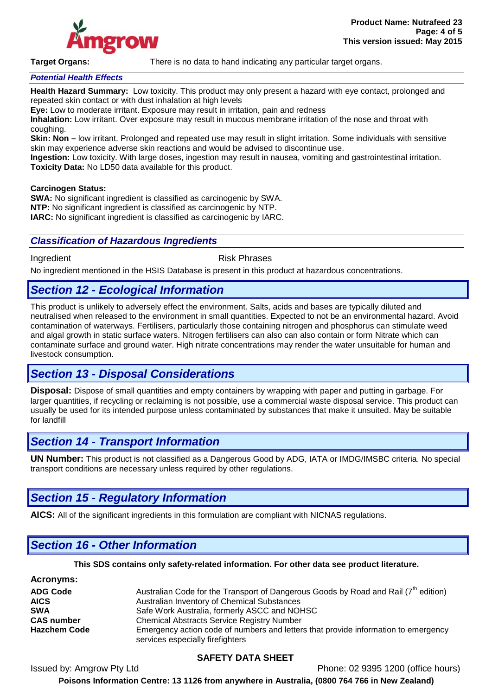

**Target Organs:** There is no data to hand indicating any particular target organs.

## *Potential Health Effects*

**Health Hazard Summary:** Low toxicity. This product may only present a hazard with eye contact, prolonged and repeated skin contact or with dust inhalation at high levels

**Eye:** Low to moderate irritant. Exposure may result in irritation, pain and redness

**Inhalation:** Low irritant. Over exposure may result in mucous membrane irritation of the nose and throat with coughing.

**Skin: Non –** low irritant. Prolonged and repeated use may result in slight irritation. Some individuals with sensitive skin may experience adverse skin reactions and would be advised to discontinue use.

**Ingestion:** Low toxicity. With large doses, ingestion may result in nausea, vomiting and gastrointestinal irritation. **Toxicity Data:** No LD50 data available for this product.

#### **Carcinogen Status:**

**SWA:** No significant ingredient is classified as carcinogenic by SWA. **NTP:** No significant ingredient is classified as carcinogenic by NTP. **IARC:** No significant ingredient is classified as carcinogenic by IARC.

#### *Classification of Hazardous Ingredients*

#### Ingredient **Risk Phrases**

No ingredient mentioned in the HSIS Database is present in this product at hazardous concentrations.

## *Section 12 - Ecological Information*

This product is unlikely to adversely effect the environment. Salts, acids and bases are typically diluted and neutralised when released to the environment in small quantities. Expected to not be an environmental hazard. Avoid contamination of waterways. Fertilisers, particularly those containing nitrogen and phosphorus can stimulate weed and algal growth in static surface waters. Nitrogen fertilisers can also can also contain or form Nitrate which can contaminate surface and ground water. High nitrate concentrations may render the water unsuitable for human and livestock consumption.

## *Section 13 - Disposal Considerations*

**Disposal:** Dispose of small quantities and empty containers by wrapping with paper and putting in garbage. For larger quantities, if recycling or reclaiming is not possible, use a commercial waste disposal service. This product can usually be used for its intended purpose unless contaminated by substances that make it unsuited. May be suitable for landfill

## *Section 14 - Transport Information*

**UN Number:** This product is not classified as a Dangerous Good by ADG, IATA or IMDG/IMSBC criteria. No special transport conditions are necessary unless required by other regulations.

## *Section 15 - Regulatory Information*

**AICS:** All of the significant ingredients in this formulation are compliant with NICNAS regulations.

# *Section 16 - Other Information*

#### **This SDS contains only safety-related information. For other data see product literature.**

**Acronyms:**

| <b>ADG Code</b>     | Australian Code for the Transport of Dangerous Goods by Road and Rail (7 <sup>th</sup> edition)                        |
|---------------------|------------------------------------------------------------------------------------------------------------------------|
| <b>AICS</b>         | Australian Inventory of Chemical Substances                                                                            |
| <b>SWA</b>          | Safe Work Australia, formerly ASCC and NOHSC                                                                           |
| <b>CAS number</b>   | <b>Chemical Abstracts Service Registry Number</b>                                                                      |
| <b>Hazchem Code</b> | Emergency action code of numbers and letters that provide information to emergency<br>services especially firefighters |

## **SAFETY DATA SHEET**

Issued by: Amgrow Pty Ltd Phone: 02 9395 1200 (office hours)